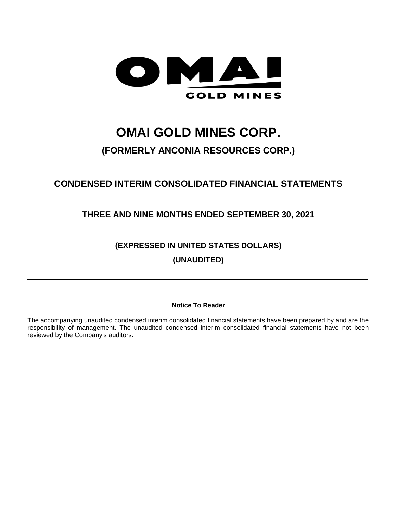

# **OMAI GOLD MINES CORP.**

# **(FORMERLY ANCONIA RESOURCES CORP.)**

# **CONDENSED INTERIM CONSOLIDATED FINANCIAL STATEMENTS**

**THREE AND NINE MONTHS ENDED SEPTEMBER 30, 2021**

# **(EXPRESSED IN UNITED STATES DOLLARS) (UNAUDITED)**

#### **Notice To Reader**

The accompanying unaudited condensed interim consolidated financial statements have been prepared by and are the responsibility of management. The unaudited condensed interim consolidated financial statements have not been reviewed by the Company's auditors.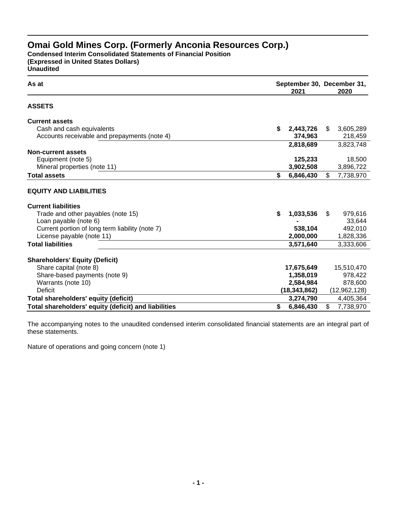**Condensed Interim Consolidated Statements of Financial Position (Expressed in United States Dollars) Unaudited**

| ۰. |  | . .<br>× | . .<br>٠ | ٠ | - |  |
|----|--|----------|----------|---|---|--|
|    |  |          |          |   |   |  |
|    |  |          |          |   |   |  |

| As at                                                           |                 | September 30, December 31, |  |  |  |
|-----------------------------------------------------------------|-----------------|----------------------------|--|--|--|
|                                                                 | 2021            | 2020                       |  |  |  |
| <b>ASSETS</b>                                                   |                 |                            |  |  |  |
| <b>Current assets</b>                                           |                 |                            |  |  |  |
| Cash and cash equivalents                                       | \$<br>2,443,726 | 3,605,289<br>\$.           |  |  |  |
| Accounts receivable and prepayments (note 4)                    | 374,963         | 218,459                    |  |  |  |
|                                                                 | 2,818,689       | 3,823,748                  |  |  |  |
| <b>Non-current assets</b>                                       |                 |                            |  |  |  |
| Equipment (note 5)                                              | 125,233         | 18,500                     |  |  |  |
| Mineral properties (note 11)                                    | 3,902,508       | 3,896,722                  |  |  |  |
| <b>Total assets</b>                                             | \$<br>6,846,430 | \$<br>7,738,970            |  |  |  |
| <b>EQUITY AND LIABILITIES</b>                                   |                 |                            |  |  |  |
| <b>Current liabilities</b>                                      |                 |                            |  |  |  |
| Trade and other payables (note 15)                              | 1,033,536<br>\$ | \$.<br>979,616             |  |  |  |
| Loan payable (note 6)                                           |                 | 33,644                     |  |  |  |
| Current portion of long term liability (note 7)                 | 538,104         | 492,010                    |  |  |  |
| License payable (note 11)                                       | 2,000,000       | 1,828,336                  |  |  |  |
| <b>Total liabilities</b>                                        | 3,571,640       | 3,333,606                  |  |  |  |
|                                                                 |                 |                            |  |  |  |
| <b>Shareholders' Equity (Deficit)</b><br>Share capital (note 8) | 17,675,649      | 15,510,470                 |  |  |  |
| Share-based payments (note 9)                                   | 1,358,019       | 978,422                    |  |  |  |
| Warrants (note 10)                                              | 2,584,984       | 878,600                    |  |  |  |
| <b>Deficit</b>                                                  | (18, 343, 862)  | (12,962,128)               |  |  |  |
| Total shareholders' equity (deficit)                            | 3,274,790       | 4,405,364                  |  |  |  |
|                                                                 |                 |                            |  |  |  |
| Total shareholders' equity (deficit) and liabilities            | \$<br>6,846,430 | \$<br>7,738,970            |  |  |  |

The accompanying notes to the unaudited condensed interim consolidated financial statements are an integral part of these statements.

Nature of operations and going concern (note 1)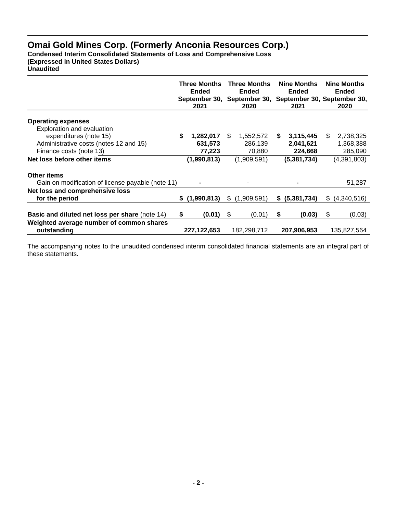**Condensed Interim Consolidated Statements of Loss and Comprehensive Loss (Expressed in United States Dollars)**

**Unaudited**

|                                                         | <b>Three Months</b><br><b>Ended</b><br>2021 | <b>Three Months</b><br><b>Ended</b><br>September 30, September 30, September 30, September 30,<br>2020 |    | <b>Nine Months</b><br><b>Ended</b><br>2021 |     | <b>Nine Months</b><br><b>Ended</b><br>2020 |
|---------------------------------------------------------|---------------------------------------------|--------------------------------------------------------------------------------------------------------|----|--------------------------------------------|-----|--------------------------------------------|
| <b>Operating expenses</b>                               |                                             |                                                                                                        |    |                                            |     |                                            |
| Exploration and evaluation                              |                                             |                                                                                                        |    |                                            |     |                                            |
| expenditures (note 15)                                  | \$<br>1,282,017                             | \$<br>1,552,572                                                                                        | S. | 3,115,445                                  | \$. | 2,738,325                                  |
| Administrative costs (notes 12 and 15)                  | 631,573                                     | 286,139                                                                                                |    | 2,041,621                                  |     | 1,368,388                                  |
| Finance costs (note 13)                                 | 77,223                                      | 70,880                                                                                                 |    | 224,668                                    |     | 285,090                                    |
| Net loss before other items                             | (1,990,813)                                 | (1,909,591)                                                                                            |    | (5,381,734)                                |     | (4,391,803)                                |
| Other items                                             |                                             |                                                                                                        |    |                                            |     |                                            |
| Gain on modification of license payable (note 11)       |                                             |                                                                                                        |    |                                            |     | 51,287                                     |
| Net loss and comprehensive loss                         |                                             |                                                                                                        |    |                                            |     |                                            |
| for the period                                          | \$(1,990,813)                               | \$(1,909,591)                                                                                          |    | \$ (5,381,734)                             |     | \$ (4,340,516)                             |
|                                                         |                                             |                                                                                                        |    |                                            |     |                                            |
| Basic and diluted net loss per share (note 14)          | \$<br>(0.01)                                | \$<br>(0.01)                                                                                           | \$ | (0.03)                                     | \$  | (0.03)                                     |
| Weighted average number of common shares<br>outstanding | 227,122,653                                 | 182,298,712                                                                                            |    | 207,906,953                                |     | 135,827,564                                |

The accompanying notes to the unaudited condensed interim consolidated financial statements are an integral part of these statements.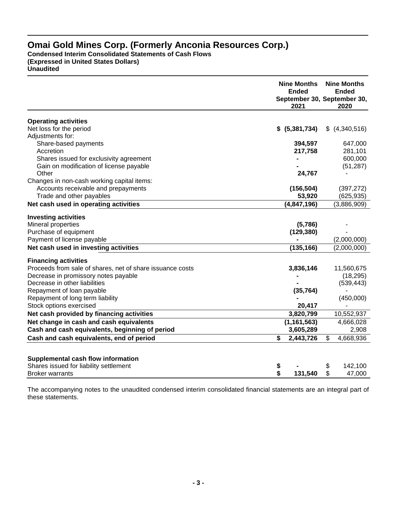**Condensed Interim Consolidated Statements of Cash Flows (Expressed in United States Dollars) Unaudited**

|                                                           |          | <b>Nine Months</b><br><b>Ended</b><br>September 30, September 30,<br>2021 | <b>Nine Months</b><br><b>Ended</b><br>2020 |
|-----------------------------------------------------------|----------|---------------------------------------------------------------------------|--------------------------------------------|
| <b>Operating activities</b>                               |          |                                                                           |                                            |
| Net loss for the period                                   |          | $$$ (5,381,734)                                                           | \$ (4,340,516)                             |
| Adjustments for:                                          |          |                                                                           |                                            |
| Share-based payments                                      |          | 394,597                                                                   | 647,000                                    |
| Accretion                                                 |          | 217,758                                                                   | 281,101                                    |
| Shares issued for exclusivity agreement                   |          |                                                                           | 600,000                                    |
| Gain on modification of license payable                   |          |                                                                           | (51, 287)                                  |
| Other                                                     |          | 24,767                                                                    |                                            |
| Changes in non-cash working capital items:                |          |                                                                           |                                            |
| Accounts receivable and prepayments                       |          | (156, 504)                                                                | (397, 272)                                 |
| Trade and other payables                                  |          | 53,920                                                                    | (625, 935)                                 |
| Net cash used in operating activities                     |          | (4,847,196)                                                               | (3,886,909)                                |
|                                                           |          |                                                                           |                                            |
| <b>Investing activities</b>                               |          |                                                                           |                                            |
| Mineral properties                                        |          | (5,786)                                                                   |                                            |
| Purchase of equipment<br>Payment of license payable       |          | (129, 380)                                                                | (2,000,000)                                |
|                                                           |          |                                                                           |                                            |
| Net cash used in investing activities                     |          | (135, 166)                                                                | (2,000,000)                                |
| <b>Financing activities</b>                               |          |                                                                           |                                            |
| Proceeds from sale of shares, net of share issuance costs |          | 3,836,146                                                                 | 11,560,675                                 |
| Decrease in promissory notes payable                      |          |                                                                           | (18, 295)                                  |
| Decrease in other liabilities                             |          |                                                                           | (539, 443)                                 |
| Repayment of loan payable                                 |          | (35, 764)                                                                 |                                            |
| Repayment of long term liability                          |          |                                                                           | (450,000)                                  |
| Stock options exercised                                   |          | 20,417                                                                    |                                            |
| Net cash provided by financing activities                 |          | 3,820,799                                                                 | 10,552,937                                 |
| Net change in cash and cash equivalents                   |          | (1, 161, 563)                                                             | 4,666,028                                  |
| Cash and cash equivalents, beginning of period            |          | 3,605,289                                                                 | 2,908                                      |
| Cash and cash equivalents, end of period                  | \$       | 2,443,726                                                                 | \$<br>4,668,936                            |
|                                                           |          |                                                                           |                                            |
| Supplemental cash flow information                        |          |                                                                           |                                            |
| Shares issued for liability settlement                    |          |                                                                           | \$<br>142,100                              |
| <b>Broker warrants</b>                                    | \$<br>\$ | 131,540                                                                   | \$<br>47,000                               |

The accompanying notes to the unaudited condensed interim consolidated financial statements are an integral part of these statements.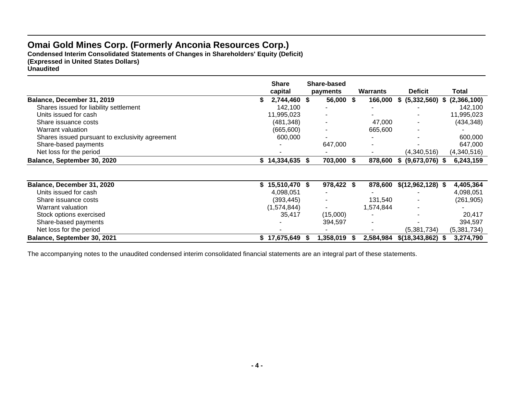**Condensed Interim Consolidated Statements of Changes in Shareholders' Equity (Deficit) (Expressed in United States Dollars) Unaudited**

|                                                 | <b>Share</b><br>capital | Share-based<br>payments  | <b>Warrants</b>          | <b>Deficit</b>                        | <b>Total</b> |
|-------------------------------------------------|-------------------------|--------------------------|--------------------------|---------------------------------------|--------------|
| Balance, December 31, 2019                      | 2,744,460 \$            | 56,000                   |                          | 166,000 \$ (5,332,560) \$ (2,366,100) |              |
| Shares issued for liability settlement          | 142.100                 | $\overline{\phantom{a}}$ |                          |                                       | 142.100      |
| Units issued for cash                           | 11,995,023              |                          |                          |                                       | 11,995,023   |
| Share issuance costs                            | (481, 348)              |                          | 47.000                   |                                       | (434, 348)   |
| Warrant valuation                               | (665, 600)              |                          | 665,600                  |                                       |              |
| Shares issued pursuant to exclusivity agreement | 600,000                 | -                        |                          |                                       | 600,000      |
| Share-based payments                            |                         | 647.000                  | $\overline{\phantom{0}}$ |                                       | 647.000      |
| Net loss for the period                         |                         |                          |                          | (4,340,516)                           | (4,340,516)  |
| Balance, September 30, 2020                     | $$14,334,635$ \$        | 703,000                  | 878,600                  | $(9,673,076)$ \$<br>S.                | 6,243,159    |

| Balance, December 31, 2020  | $$15,510,470$ \$ | 978,422   |                | 878,600 \$(12,962,128) \$ | 4,405,364   |
|-----------------------------|------------------|-----------|----------------|---------------------------|-------------|
| Units issued for cash       | 4,098,051        |           |                |                           | 4,098,051   |
| Share issuance costs        | (393, 445)       |           | 131.540        |                           | (261, 905)  |
| Warrant valuation           | (1,574,844)      |           | 1,574,844      | $\overline{\phantom{a}}$  |             |
| Stock options exercised     | 35,417           | (15,000)  |                |                           | 20.417      |
| Share-based payments        |                  | 394.597   | $\blacksquare$ | -                         | 394,597     |
| Net loss for the period     |                  |           |                | (5,381,734)               | (5,381,734) |
| Balance, September 30, 2021 | \$17,675,649     | 1,358,019 | 2,584,984      | $$$ (18,343,862) \$       | 3,274,790   |

The accompanying notes to the unaudited condensed interim consolidated financial statements are an integral part of these statements.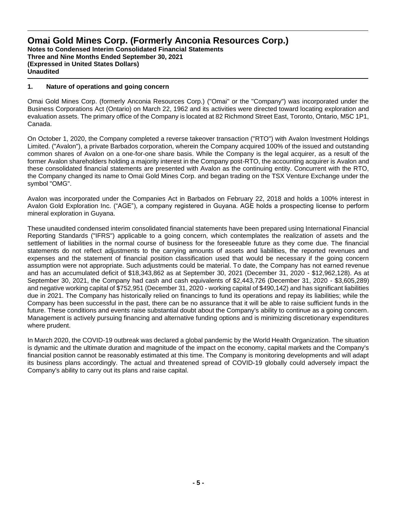#### **1. Nature of operations and going concern**

Omai Gold Mines Corp. (formerly Anconia Resources Corp.) ("Omai" or the "Company") was incorporated under the Business Corporations Act (Ontario) on March 22, 1962 and its activities were directed toward locating exploration and evaluation assets. The primary office of the Company is located at 82 Richmond Street East, Toronto, Ontario, M5C 1P1, Canada.

On October 1, 2020, the Company completed a reverse takeover transaction ("RTO") with Avalon Investment Holdings Limited. ("Avalon"), a private Barbados corporation, wherein the Company acquired 100% of the issued and outstanding common shares of Avalon on a one-for-one share basis. While the Company is the legal acquirer, as a result of the former Avalon shareholders holding a majority interest in the Company post-RTO, the accounting acquirer is Avalon and these consolidated financial statements are presented with Avalon as the continuing entity. Concurrent with the RTO, the Company changed its name to Omai Gold Mines Corp. and began trading on the TSX Venture Exchange under the symbol "OMG".

Avalon was incorporated under the Companies Act in Barbados on February 22, 2018 and holds a 100% interest in Avalon Gold Exploration Inc. ("AGE"), a company registered in Guyana. AGE holds a prospecting license to perform mineral exploration in Guyana.

These unaudited condensed interim consolidated financial statements have been prepared using International Financial Reporting Standards ("IFRS") applicable to a going concern, which contemplates the realization of assets and the settlement of liabilities in the normal course of business for the foreseeable future as they come due. The financial statements do not reflect adjustments to the carrying amounts of assets and liabilities, the reported revenues and expenses and the statement of financial position classification used that would be necessary if the going concern assumption were not appropriate. Such adjustments could be material. To date, the Company has not earned revenue and has an accumulated deficit of \$18,343,862 as at September 30, 2021 (December 31, 2020 - \$12,962,128). As at September 30, 2021, the Company had cash and cash equivalents of \$2,443,726 (December 31, 2020 - \$3,605,289) and negative working capital of \$752,951 (December 31, 2020 - working capital of \$490,142) and has significant liabilities due in 2021. The Company has historically relied on financings to fund its operations and repay its liabilities; while the Company has been successful in the past, there can be no assurance that it will be able to raise sufficient funds in the future. These conditions and events raise substantial doubt about the Company's ability to continue as a going concern. Management is actively pursuing financing and alternative funding options and is minimizing discretionary expenditures where prudent.

In March 2020, the COVID-19 outbreak was declared a global pandemic by the World Health Organization. The situation is dynamic and the ultimate duration and magnitude of the impact on the economy, capital markets and the Company's financial position cannot be reasonably estimated at this time. The Company is monitoring developments and will adapt its business plans accordingly. The actual and threatened spread of COVID-19 globally could adversely impact the Company's ability to carry out its plans and raise capital.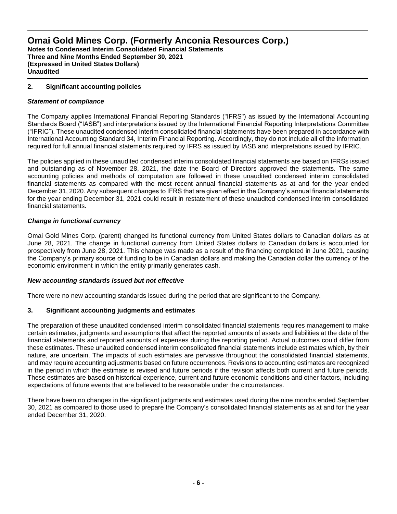#### **2. Significant accounting policies**

#### *Statement of compliance*

The Company applies International Financial Reporting Standards ("IFRS") as issued by the International Accounting Standards Board ("IASB") and interpretations issued by the International Financial Reporting Interpretations Committee ("IFRIC"). These unaudited condensed interim consolidated financial statements have been prepared in accordance with International Accounting Standard 34, Interim Financial Reporting. Accordingly, they do not include all of the information required for full annual financial statements required by IFRS as issued by IASB and interpretations issued by IFRIC.

The policies applied in these unaudited condensed interim consolidated financial statements are based on IFRSs issued and outstanding as of November 28, 2021, the date the Board of Directors approved the statements. The same accounting policies and methods of computation are followed in these unaudited condensed interim consolidated financial statements as compared with the most recent annual financial statements as at and for the year ended December 31, 2020. Any subsequent changes to IFRS that are given effect in the Company's annual financial statements for the year ending December 31, 2021 could result in restatement of these unaudited condensed interim consolidated financial statements.

#### *Change in functional currency*

Omai Gold Mines Corp. (parent) changed its functional currency from United States dollars to Canadian dollars as at June 28, 2021. The change in functional currency from United States dollars to Canadian dollars is accounted for prospectively from June 28, 2021. This change was made as a result of the financing completed in June 2021, causing the Company's primary source of funding to be in Canadian dollars and making the Canadian dollar the currency of the economic environment in which the entity primarily generates cash.

#### *New accounting standards issued but not effective*

There were no new accounting standards issued during the period that are significant to the Company.

#### **3. Significant accounting judgments and estimates**

The preparation of these unaudited condensed interim consolidated financial statements requires management to make certain estimates, judgments and assumptions that affect the reported amounts of assets and liabilities at the date of the financial statements and reported amounts of expenses during the reporting period. Actual outcomes could differ from these estimates. These unaudited condensed interim consolidated financial statements include estimates which, by their nature, are uncertain. The impacts of such estimates are pervasive throughout the consolidated financial statements, and may require accounting adjustments based on future occurrences. Revisions to accounting estimates are recognized in the period in which the estimate is revised and future periods if the revision affects both current and future periods. These estimates are based on historical experience, current and future economic conditions and other factors, including expectations of future events that are believed to be reasonable under the circumstances.

There have been no changes in the significant judgments and estimates used during the nine months ended September 30, 2021 as compared to those used to prepare the Company's consolidated financial statements as at and for the year ended December 31, 2020.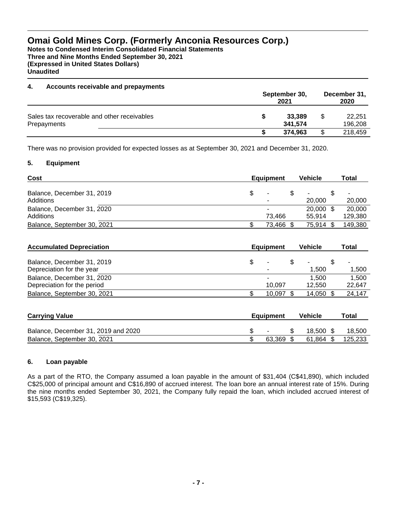**Notes to Condensed Interim Consolidated Financial Statements Three and Nine Months Ended September 30, 2021 (Expressed in United States Dollars) Unaudited**

#### **4. Accounts receivable and prepayments**

|                                                            |  | September 30,<br>2021 | December 31,<br>2020    |
|------------------------------------------------------------|--|-----------------------|-------------------------|
| Sales tax recoverable and other receivables<br>Prepayments |  | 33,389<br>341.574     | \$<br>22.251<br>196.208 |
|                                                            |  | 374.963               | \$<br>218,459           |

There was no provision provided for expected losses as at September 30, 2021 and December 31, 2020.

#### **5. Equipment**

|   |                                 | <b>Vehicle</b> |                  | <b>Total</b>           |
|---|---------------------------------|----------------|------------------|------------------------|
|   | \$.                             |                |                  | ٠<br>20,000            |
| - |                                 |                |                  | 20,000                 |
|   |                                 |                |                  | 129.380<br>149,380     |
|   | <b>Equipment</b><br>۰<br>73.466 | 73.466 \$      | 20,000<br>55.914 | 20,000 \$<br>75,914 \$ |

| <b>Accumulated Depreciation</b> | <b>Equipment</b>         |  |           | Total  |  |
|---------------------------------|--------------------------|--|-----------|--------|--|
| Balance, December 31, 2019      |                          |  |           | ٠      |  |
| Depreciation for the year       | $\overline{\phantom{a}}$ |  | 1.500     | 1,500  |  |
| Balance, December 31, 2020      | ۰                        |  | 1.500     | 1.500  |  |
| Depreciation for the period     | 10.097                   |  | 12.550    | 22.647 |  |
| Balance, September 30, 2021     | 10.097                   |  | 14,050 \$ | 24.147 |  |

| <b>Carrying Value</b>               | Equipment |           |  | Vehicle   | Total   |  |
|-------------------------------------|-----------|-----------|--|-----------|---------|--|
| Balance, December 31, 2019 and 2020 |           |           |  | 18.500 \$ | 18.500  |  |
| Balance, September 30, 2021         |           | 63.369 \$ |  | 61.864 \$ | 125,233 |  |

#### **6. Loan payable**

As a part of the RTO, the Company assumed a loan payable in the amount of \$31,404 (C\$41,890), which included C\$25,000 of principal amount and C\$16,890 of accrued interest. The loan bore an annual interest rate of 15%. During the nine months ended September 30, 2021, the Company fully repaid the loan, which included accrued interest of \$15,593 (C\$19,325).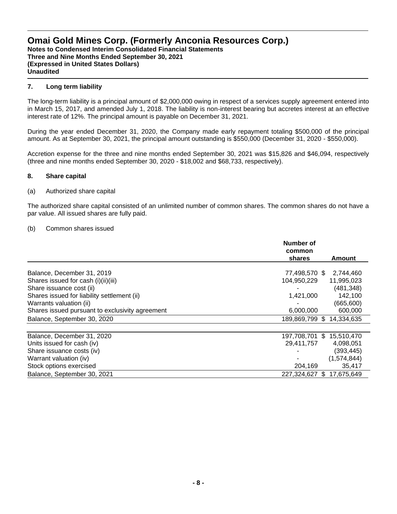**Notes to Condensed Interim Consolidated Financial Statements Three and Nine Months Ended September 30, 2021 (Expressed in United States Dollars) Unaudited**

#### **7. Long term liability**

The long-term liability is a principal amount of \$2,000,000 owing in respect of a services supply agreement entered into in March 15, 2017, and amended July 1, 2018. The liability is non-interest bearing but accretes interest at an effective interest rate of 12%. The principal amount is payable on December 31, 2021.

During the year ended December 31, 2020, the Company made early repayment totaling \$500,000 of the principal amount. As at September 30, 2021, the principal amount outstanding is \$550,000 (December 31, 2020 - \$550,000).

Accretion expense for the three and nine months ended September 30, 2021 was \$15,826 and \$46,094, respectively (three and nine months ended September 30, 2020 - \$18,002 and \$68,733, respectively).

#### **8. Share capital**

#### (a) Authorized share capital

The authorized share capital consisted of an unlimited number of common shares. The common shares do not have a par value. All issued shares are fully paid.

#### (b) Common shares issued

|                                                 | Number of<br>common              |
|-------------------------------------------------|----------------------------------|
|                                                 | shares<br>Amount                 |
| Balance, December 31, 2019                      | 77,498,570 \$<br>2,744,460       |
| Shares issued for cash (i)(ii)(iii)             | 104,950,229<br>11,995,023        |
| Share issuance cost (ii)                        | (481, 348)                       |
| Shares issued for liability settlement (ii)     | 1,421,000<br>142,100             |
| Warrants valuation (ii)                         | (665, 600)                       |
| Shares issued pursuant to exclusivity agreement | 6,000,000<br>600,000             |
| Balance, September 30, 2020                     | 189,869,799 \$<br>14,334,635     |
|                                                 |                                  |
| Balance, December 31, 2020                      | 197,708,701 \$<br>15,510,470     |
| Units issued for cash (iv)                      | 29,411,757<br>4,098,051          |
| Share issuance costs (iv)                       | (393,445)                        |
| Warrant valuation (iv)                          | (1,574,844)                      |
| Stock options exercised                         | 204,169<br>35,417                |
| Balance, September 30, 2021                     | 227,324,627<br>\$.<br>17,675,649 |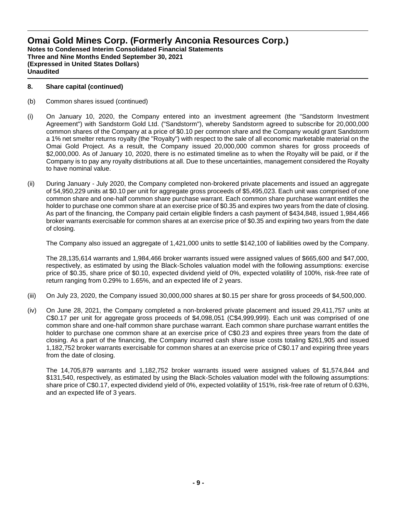#### **8. Share capital (continued)**

- (b) Common shares issued (continued)
- (i) On January 10, 2020, the Company entered into an investment agreement (the "Sandstorm Investment Agreement") with Sandstorm Gold Ltd. ("Sandstorm"), whereby Sandstorm agreed to subscribe for 20,000,000 common shares of the Company at a price of \$0.10 per common share and the Company would grant Sandstorm a 1% net smelter returns royalty (the "Royalty") with respect to the sale of all economic marketable material on the Omai Gold Project. As a result, the Company issued 20,000,000 common shares for gross proceeds of \$2,000,000. As of January 10, 2020, there is no estimated timeline as to when the Royalty will be paid, or if the Company is to pay any royalty distributions at all. Due to these uncertainties, management considered the Royalty to have nominal value.
- (ii) During January July 2020, the Company completed non-brokered private placements and issued an aggregate of 54,950,229 units at \$0.10 per unit for aggregate gross proceeds of \$5,495,023. Each unit was comprised of one common share and one-half common share purchase warrant. Each common share purchase warrant entitles the holder to purchase one common share at an exercise price of \$0.35 and expires two years from the date of closing. As part of the financing, the Company paid certain eligible finders a cash payment of \$434,848, issued 1,984,466 broker warrants exercisable for common shares at an exercise price of \$0.35 and expiring two years from the date of closing.

The Company also issued an aggregate of 1,421,000 units to settle \$142,100 of liabilities owed by the Company.

The 28,135,614 warrants and 1,984,466 broker warrants issued were assigned values of \$665,600 and \$47,000, respectively, as estimated by using the Black-Scholes valuation model with the following assumptions: exercise price of \$0.35, share price of \$0.10, expected dividend yield of 0%, expected volatility of 100%, risk-free rate of return ranging from 0.29% to 1.65%, and an expected life of 2 years.

- (iii) On July 23, 2020, the Company issued 30,000,000 shares at \$0.15 per share for gross proceeds of \$4,500,000.
- (iv) On June 28, 2021, the Company completed a non-brokered private placement and issued 29,411,757 units at C\$0.17 per unit for aggregate gross proceeds of \$4,098,051 (C\$4,999,999). Each unit was comprised of one common share and one-half common share purchase warrant. Each common share purchase warrant entitles the holder to purchase one common share at an exercise price of C\$0.23 and expires three years from the date of closing. As a part of the financing, the Company incurred cash share issue costs totaling \$261,905 and issued 1,182,752 broker warrants exercisable for common shares at an exercise price of C\$0.17 and expiring three years from the date of closing.

The 14,705,879 warrants and 1,182,752 broker warrants issued were assigned values of \$1,574,844 and \$131,540, respectively, as estimated by using the Black-Scholes valuation model with the following assumptions: share price of C\$0.17, expected dividend yield of 0%, expected volatility of 151%, risk-free rate of return of 0.63%, and an expected life of 3 years.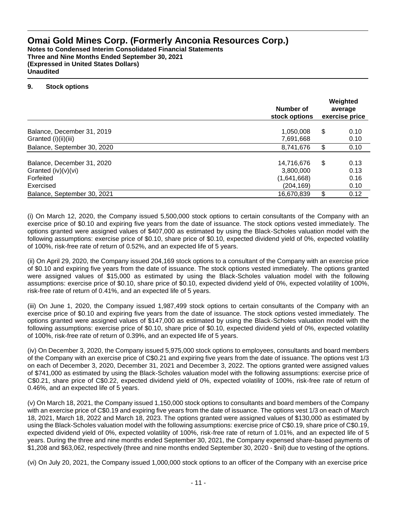**Notes to Condensed Interim Consolidated Financial Statements Three and Nine Months Ended September 30, 2021 (Expressed in United States Dollars) Unaudited**

#### **9. Stock options**

|                                                                               | Number of<br>stock options                           | Weighted<br>average<br>exercise price |
|-------------------------------------------------------------------------------|------------------------------------------------------|---------------------------------------|
| Balance, December 31, 2019<br>Granted (i)(ii)(iii)                            | 1,050,008<br>7,691,668                               | \$<br>0.10<br>0.10                    |
| Balance, September 30, 2020                                                   | 8,741,676                                            | \$<br>0.10                            |
| Balance, December 31, 2020<br>Granted $(iv)(v)(vi)$<br>Forfeited<br>Exercised | 14,716,676<br>3,800,000<br>(1,641,668)<br>(204, 169) | \$<br>0.13<br>0.13<br>0.16<br>0.10    |
| Balance, September 30, 2021                                                   | 16,670,839                                           | \$<br>0.12                            |

(i) On March 12, 2020, the Company issued 5,500,000 stock options to certain consultants of the Company with an exercise price of \$0.10 and expiring five years from the date of issuance. The stock options vested immediately. The options granted were assigned values of \$407,000 as estimated by using the Black-Scholes valuation model with the following assumptions: exercise price of \$0.10, share price of \$0.10, expected dividend yield of 0%, expected volatility of 100%, risk-free rate of return of 0.52%, and an expected life of 5 years.

(ii) On April 29, 2020, the Company issued 204,169 stock options to a consultant of the Company with an exercise price of \$0.10 and expiring five years from the date of issuance. The stock options vested immediately. The options granted were assigned values of \$15,000 as estimated by using the Black-Scholes valuation model with the following assumptions: exercise price of \$0.10, share price of \$0.10, expected dividend yield of 0%, expected volatility of 100%, risk-free rate of return of 0.41%, and an expected life of 5 years.

(iii) On June 1, 2020, the Company issued 1,987,499 stock options to certain consultants of the Company with an exercise price of \$0.10 and expiring five years from the date of issuance. The stock options vested immediately. The options granted were assigned values of \$147,000 as estimated by using the Black-Scholes valuation model with the following assumptions: exercise price of \$0.10, share price of \$0.10, expected dividend yield of 0%, expected volatility of 100%, risk-free rate of return of 0.39%, and an expected life of 5 years.

(iv) On December 3, 2020, the Company issued 5,975,000 stock options to employees, consultants and board members of the Company with an exercise price of C\$0.21 and expiring five years from the date of issuance. The options vest 1/3 on each of December 3, 2020, December 31, 2021 and December 3, 2022. The options granted were assigned values of \$741,000 as estimated by using the Black-Scholes valuation model with the following assumptions: exercise price of C\$0.21, share price of C\$0.22, expected dividend yield of 0%, expected volatility of 100%, risk-free rate of return of 0.46%, and an expected life of 5 years.

(v) On March 18, 2021, the Company issued 1,150,000 stock options to consultants and board members of the Company with an exercise price of C\$0.19 and expiring five years from the date of issuance. The options vest 1/3 on each of March 18, 2021, March 18, 2022 and March 18, 2023. The options granted were assigned values of \$130,000 as estimated by using the Black-Scholes valuation model with the following assumptions: exercise price of C\$0.19, share price of C\$0.19, expected dividend yield of 0%, expected volatility of 100%, risk-free rate of return of 1.01%, and an expected life of 5 years. During the three and nine months ended September 30, 2021, the Company expensed share-based payments of \$1,208 and \$63,062, respectively (three and nine months ended September 30, 2020 - \$nil) due to vesting of the options.

(vi) On July 20, 2021, the Company issued 1,000,000 stock options to an officer of the Company with an exercise price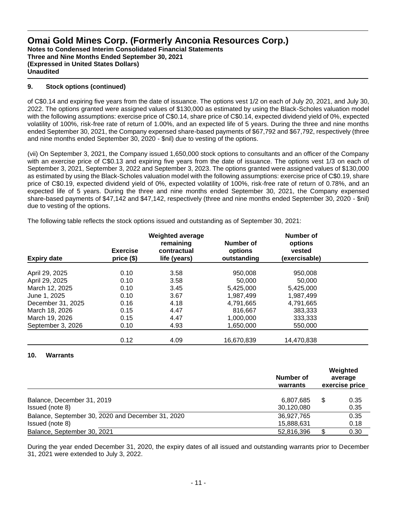#### **9. Stock options (continued)**

of C\$0.14 and expiring five years from the date of issuance. The options vest 1/2 on each of July 20, 2021, and July 30, 2022. The options granted were assigned values of \$130,000 as estimated by using the Black-Scholes valuation model with the following assumptions: exercise price of C\$0.14, share price of C\$0.14, expected dividend yield of 0%, expected volatility of 100%, risk-free rate of return of 1.00%, and an expected life of 5 years. During the three and nine months ended September 30, 2021, the Company expensed share-based payments of \$67,792 and \$67,792, respectively (three and nine months ended September 30, 2020 - \$nil) due to vesting of the options.

(vii) On September 3, 2021, the Company issued 1,650,000 stock options to consultants and an officer of the Company with an exercise price of C\$0.13 and expiring five years from the date of issuance. The options vest 1/3 on each of September 3, 2021, September 3, 2022 and September 3, 2023. The options granted were assigned values of \$130,000 as estimated by using the Black-Scholes valuation model with the following assumptions: exercise price of C\$0.19, share price of C\$0.19, expected dividend yield of 0%, expected volatility of 100%, risk-free rate of return of 0.78%, and an expected life of 5 years. During the three and nine months ended September 30, 2021, the Company expensed share-based payments of \$47,142 and \$47,142, respectively (three and nine months ended September 30, 2020 - \$nil) due to vesting of the options.

| <b>Expiry date</b> | <b>Exercise</b><br>price(\$) | <b>Weighted average</b><br>remaining<br>contractual<br>life (years) | Number of<br>options<br>outstanding | Number of<br>options<br>vested<br>(exercisable) |  |
|--------------------|------------------------------|---------------------------------------------------------------------|-------------------------------------|-------------------------------------------------|--|
| April 29, 2025     | 0.10                         | 3.58                                                                | 950,008                             | 950,008                                         |  |
| April 29, 2025     | 0.10                         | 3.58                                                                | 50,000                              | 50,000                                          |  |
| March 12, 2025     | 0.10                         | 3.45                                                                | 5,425,000                           | 5,425,000                                       |  |
| June 1, 2025       | 0.10                         | 3.67                                                                | 1,987,499                           | 1,987,499                                       |  |
| December 31, 2025  | 0.16                         | 4.18                                                                | 4.791.665                           | 4.791.665                                       |  |
| March 18, 2026     | 0.15                         | 4.47                                                                | 816.667                             | 383,333                                         |  |
| March 19, 2026     | 0.15                         | 4.47                                                                | 1,000,000                           | 333,333                                         |  |
| September 3, 2026  | 0.10                         | 4.93                                                                | 1,650,000                           | 550,000                                         |  |
|                    | 0.12                         | 4.09                                                                | 16,670,839                          | 14.470.838                                      |  |

The following table reflects the stock options issued and outstanding as of September 30, 2021:

#### **10. Warrants**

|                                                   | Number of<br>warrants | Weighted<br>average<br>exercise price |
|---------------------------------------------------|-----------------------|---------------------------------------|
| Balance, December 31, 2019                        | 6,807,685             | \$<br>0.35                            |
| Issued (note 8)                                   | 30,120,080            | 0.35                                  |
| Balance, September 30, 2020 and December 31, 2020 | 36,927,765            | 0.35                                  |
| Issued (note 8)                                   | 15,888,631            | 0.18                                  |
| Balance, September 30, 2021                       | 52,816,396            | 0.30                                  |

During the year ended December 31, 2020, the expiry dates of all issued and outstanding warrants prior to December 31, 2021 were extended to July 3, 2022.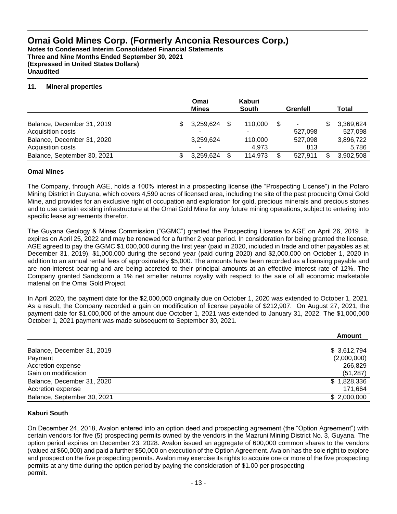**Notes to Condensed Interim Consolidated Financial Statements Three and Nine Months Ended September 30, 2021 (Expressed in United States Dollars) Unaudited**

#### **11. Mineral properties**

|                                                 | Omai<br><b>Mines</b> | Kaburi<br>South | Grenfell | Total                |
|-------------------------------------------------|----------------------|-----------------|----------|----------------------|
| Balance, December 31, 2019<br>Acquisition costs | 3.259.624 \$<br>-    | 110.000         | 527.098  | 3,369,624<br>527,098 |
| Balance, December 31, 2020                      | 3,259,624            | 110.000         | 527,098  | 3,896,722            |
| Acquisition costs                               |                      | 4.973           | 813      | 5,786                |
| Balance, September 30, 2021                     | 3.259.624            | 114.973         | 527.911  | 3.902.508            |

#### **Omai Mines**

The Company, through AGE, holds a 100% interest in a prospecting license (the "Prospecting License") in the Potaro Mining District in Guyana, which covers 4,590 acres of licensed area, including the site of the past producing Omai Gold Mine, and provides for an exclusive right of occupation and exploration for gold, precious minerals and precious stones and to use certain existing infrastructure at the Omai Gold Mine for any future mining operations, subject to entering into specific lease agreements therefor.

The Guyana Geology & Mines Commission ("GGMC") granted the Prospecting License to AGE on April 26, 2019. It expires on April 25, 2022 and may be renewed for a further 2 year period. In consideration for being granted the license, AGE agreed to pay the GGMC \$1,000,000 during the first year (paid in 2020, included in trade and other payables as at December 31, 2019), \$1,000,000 during the second year (paid during 2020) and \$2,000,000 on October 1, 2020 in addition to an annual rental fees of approximately \$5,000. The amounts have been recorded as a licensing payable and are non-interest bearing and are being accreted to their principal amounts at an effective interest rate of 12%. The Company granted Sandstorm a 1% net smelter returns royalty with respect to the sale of all economic marketable material on the Omai Gold Project.

In April 2020, the payment date for the \$2,000,000 originally due on October 1, 2020 was extended to October 1, 2021. As a result, the Company recorded a gain on modification of license payable of \$212,907. On August 27, 2021, the payment date for \$1,000,000 of the amount due October 1, 2021 was extended to January 31, 2022. The \$1,000,000 October 1, 2021 payment was made subsequent to September 30, 2021.

|                             | Amount      |
|-----------------------------|-------------|
| Balance, December 31, 2019  | \$3,612,794 |
| Payment                     | (2,000,000) |
| Accretion expense           | 266,829     |
| Gain on modification        | (51, 287)   |
| Balance, December 31, 2020  | \$1,828,336 |
| Accretion expense           | 171,664     |
| Balance, September 30, 2021 | \$2,000,000 |

#### **Kaburi South**

On December 24, 2018, Avalon entered into an option deed and prospecting agreement (the "Option Agreement") with certain vendors for five (5) prospecting permits owned by the vendors in the Mazruni Mining District No. 3, Guyana. The option period expires on December 23, 2028. Avalon issued an aggregate of 600,000 common shares to the vendors (valued at \$60,000) and paid a further \$50,000 on execution of the Option Agreement. Avalon has the sole right to explore and prospect on the five prospecting permits. Avalon may exercise its rights to acquire one or more of the five prospecting permits at any time during the option period by paying the consideration of \$1.00 per prospecting permit.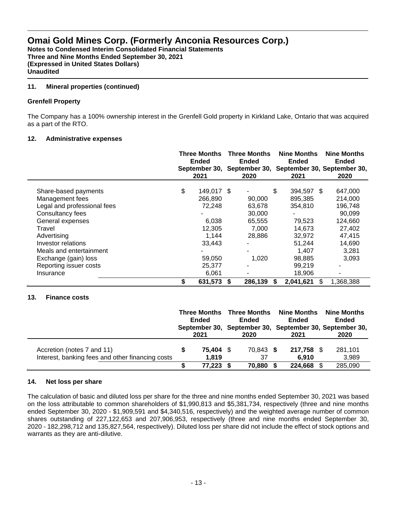#### **11. Mineral properties (continued)**

#### **Grenfell Property**

The Company has a 100% ownership interest in the Grenfell Gold property in Kirkland Lake, Ontario that was acquired as a part of the RTO.

#### **12. Administrative expenses**

|                             | <b>Three Months</b><br><b>Ended</b><br>2021 | <b>Three Months</b><br><b>Ended</b><br>September 30, September 30, September 30, September 30,<br>2020 | <b>Nine Months</b><br><b>Ended</b><br>2021 | <b>Nine Months</b><br><b>Ended</b><br>2020 |
|-----------------------------|---------------------------------------------|--------------------------------------------------------------------------------------------------------|--------------------------------------------|--------------------------------------------|
| Share-based payments        | \$<br>149.017 \$                            |                                                                                                        | \$<br>394.597 \$                           | 647,000                                    |
| Management fees             | 266,890                                     | 90,000                                                                                                 | 895,385                                    | 214,000                                    |
| Legal and professional fees | 72,248                                      | 63,678                                                                                                 | 354,810                                    | 196,748                                    |
| Consultancy fees            |                                             | 30,000                                                                                                 |                                            | 90.099                                     |
| General expenses            | 6,038                                       | 65,555                                                                                                 | 79,523                                     | 124,660                                    |
| Travel                      | 12,305                                      | 7,000                                                                                                  | 14,673                                     | 27,402                                     |
| Advertising                 | 1,144                                       | 28,886                                                                                                 | 32,972                                     | 47,415                                     |
| Investor relations          | 33,443                                      |                                                                                                        | 51,244                                     | 14,690                                     |
| Meals and entertainment     |                                             |                                                                                                        | 1,407                                      | 3,281                                      |
| Exchange (gain) loss        | 59,050                                      | 1,020                                                                                                  | 98,885                                     | 3,093                                      |
| Reporting issuer costs      | 25,377                                      |                                                                                                        | 99,219                                     |                                            |
| Insurance                   | 6,061                                       |                                                                                                        | 18,906                                     |                                            |
|                             | \$<br>631,573                               | 286,139<br>S                                                                                           | 2,041,621<br>S                             | 1,368,388<br>\$                            |

#### **13. Finance costs**

|                                                                                | <b>Three Months</b><br><b>Ended</b><br>2021 |                           | <b>Three Months</b><br><b>Ended</b><br>September 30, September 30, September 30, September 30,<br>2020 |                 | <b>Nine Months</b><br>Ended<br>2021 |                     | <b>Nine Months</b><br><b>Ended</b><br>2020 |                  |
|--------------------------------------------------------------------------------|---------------------------------------------|---------------------------|--------------------------------------------------------------------------------------------------------|-----------------|-------------------------------------|---------------------|--------------------------------------------|------------------|
| Accretion (notes 7 and 11)<br>Interest, banking fees and other financing costs |                                             | <b>75.404 \$</b><br>1.819 |                                                                                                        | 70.843 \$<br>37 |                                     | 217,758 \$<br>6.910 |                                            | 281,101<br>3,989 |
|                                                                                |                                             | $77,223$ \$               |                                                                                                        | 70,880          |                                     | 224,668             |                                            | 285,090          |

#### **14. Net loss per share**

The calculation of basic and diluted loss per share for the three and nine months ended September 30, 2021 was based on the loss attributable to common shareholders of \$1,990,813 and \$5,381,734, respectively (three and nine months ended September 30, 2020 - \$1,909,591 and \$4,340,516, respectively) and the weighted average number of common shares outstanding of 227,122,653 and 207,906,953, respectively (three and nine months ended September 30, 2020 - 182,298,712 and 135,827,564, respectively). Diluted loss per share did not include the effect of stock options and warrants as they are anti-dilutive.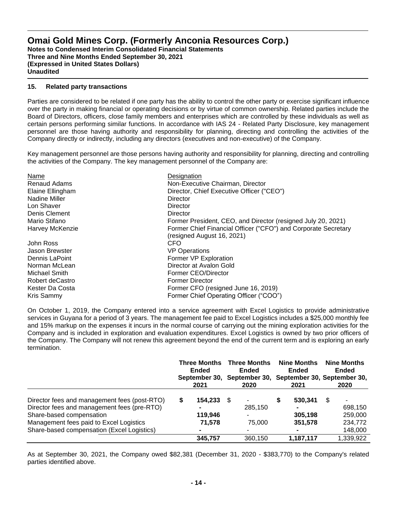**Notes to Condensed Interim Consolidated Financial Statements Three and Nine Months Ended September 30, 2021 (Expressed in United States Dollars) Unaudited**

#### **15. Related party transactions**

Parties are considered to be related if one party has the ability to control the other party or exercise significant influence over the party in making financial or operating decisions or by virtue of common ownership. Related parties include the Board of Directors, officers, close family members and enterprises which are controlled by these individuals as well as certain persons performing similar functions. In accordance with IAS 24 - Related Party Disclosure, key management personnel are those having authority and responsibility for planning, directing and controlling the activities of the Company directly or indirectly, including any directors (executives and non-executive) of the Company.

Key management personnel are those persons having authority and responsibility for planning, directing and controlling the activities of the Company. The key management personnel of the Company are:

| Name             | Designation                                                    |
|------------------|----------------------------------------------------------------|
| Renaud Adams     | Non-Executive Chairman, Director                               |
| Elaine Ellingham | Director, Chief Executive Officer ("CEO")                      |
| Nadine Miller    | Director                                                       |
| Lon Shaver       | Director                                                       |
| Denis Clement    | Director                                                       |
| Mario Stifano    | Former President, CEO, and Director (resigned July 20, 2021)   |
| Harvey McKenzie  | Former Chief Financial Officer ("CFO") and Corporate Secretary |
|                  | (resigned August 16, 2021)                                     |
| John Ross        | CFO                                                            |
| Jason Brewster   | <b>VP Operations</b>                                           |
| Dennis LaPoint   | Former VP Exploration                                          |
| Norman McLean    | Director at Avalon Gold                                        |
| Michael Smith    | Former CEO/Director                                            |
| Robert deCastro  | <b>Former Director</b>                                         |
| Kester Da Costa  | Former CFO (resigned June 16, 2019)                            |
| Kris Sammy       | Former Chief Operating Officer ("COO")                         |

On October 1, 2019, the Company entered into a service agreement with Excel Logistics to provide administrative services in Guyana for a period of 3 years. The management fee paid to Excel Logistics includes a \$25,000 monthly fee and 15% markup on the expenses it incurs in the normal course of carrying out the mining exploration activities for the Company and is included in exploration and evaluation expenditures. Excel Logistics is owned by two prior officers of the Company. The Company will not renew this agreement beyond the end of the current term and is exploring an early termination.

|                                              |   | <b>Three Months</b><br><b>Ended</b><br>2021 |      | <b>Three Months</b><br><b>Ended</b><br>2020 |   | <b>Nine Months</b><br><b>Ended</b><br>2021 | <b>Nine Months</b><br><b>Ended</b><br>September 30, September 30, September 30, September 30,<br>2020 |           |
|----------------------------------------------|---|---------------------------------------------|------|---------------------------------------------|---|--------------------------------------------|-------------------------------------------------------------------------------------------------------|-----------|
| Director fees and management fees (post-RTO) | S | 154,233                                     | - \$ |                                             | S | 530.341                                    | \$.                                                                                                   |           |
| Director fees and management fees (pre-RTO)  |   |                                             |      | 285,150                                     |   |                                            |                                                                                                       | 698.150   |
| Share-based compensation                     |   | 119.946                                     |      |                                             |   | 305.198                                    |                                                                                                       | 259,000   |
| Management fees paid to Excel Logistics      |   | 71,578                                      |      | 75.000                                      |   | 351,578                                    |                                                                                                       | 234,772   |
| Share-based compensation (Excel Logistics)   |   |                                             |      |                                             |   |                                            |                                                                                                       | 148,000   |
|                                              |   | 345,757                                     |      | 360,150                                     |   | 1,187,117                                  |                                                                                                       | 1,339,922 |

As at September 30, 2021, the Company owed \$82,381 (December 31, 2020 - \$383,770) to the Company's related parties identified above.